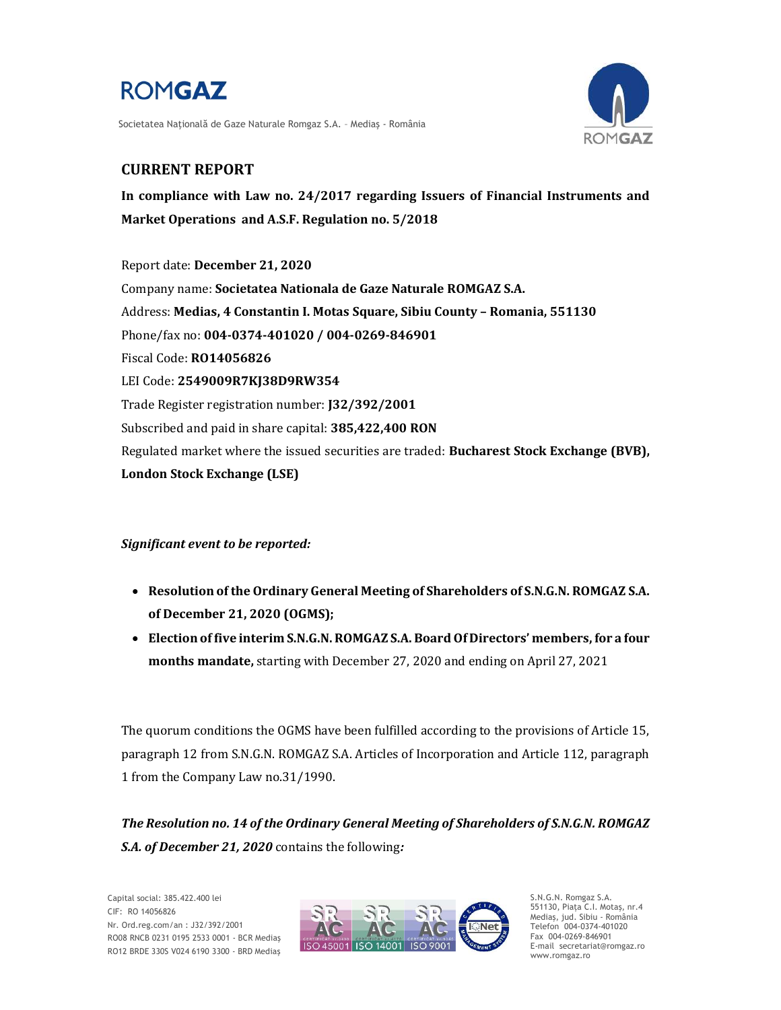

Societatea Naţională de Gaze Naturale Romgaz S.A. – Mediaş - România



## CURRENT REPORT

In compliance with Law no. 24/2017 regarding Issuers of Financial Instruments and Market Operations and A.S.F. Regulation no. 5/2018

Report date: December 21, 2020 Company name: Societatea Nationala de Gaze Naturale ROMGAZ S.A. Address: Medias, 4 Constantin I. Motas Square, Sibiu County – Romania, 551130 Phone/fax no: 004-0374-401020 / 004-0269-846901 Fiscal Code: RO14056826 LEI Code: 2549009R7KJ38D9RW354 Trade Register registration number: J32/392/2001 Subscribed and paid in share capital: 385,422,400 RON Regulated market where the issued securities are traded: Bucharest Stock Exchange (BVB), London Stock Exchange (LSE)

### Significant event to be reported:

- Resolution of the Ordinary General Meeting of Shareholders of S.N.G.N. ROMGAZ S.A. of December 21, 2020 (OGMS);
- Election of five interim S.N.G.N. ROMGAZ S.A. Board Of Directors' members, for a four months mandate, starting with December 27, 2020 and ending on April 27, 2021

The quorum conditions the OGMS have been fulfilled according to the provisions of Article 15, paragraph 12 from S.N.G.N. ROMGAZ S.A. Articles of Incorporation and Article 112, paragraph 1 from the Company Law no.31/1990.

The Resolution no. 14 of the Ordinary General Meeting of Shareholders of S.N.G.N. ROMGAZ S.A. of December 21, 2020 contains the following:



S.N.G.N. Romgaz S.A. 551130, Piața C.I. Motaş, nr.4 Mediaş, jud. Sibiu - România Telefon 004-0374-401020 Fax 004-0269-846901 E-mail secretariat@romgaz.ro www.romgaz.ro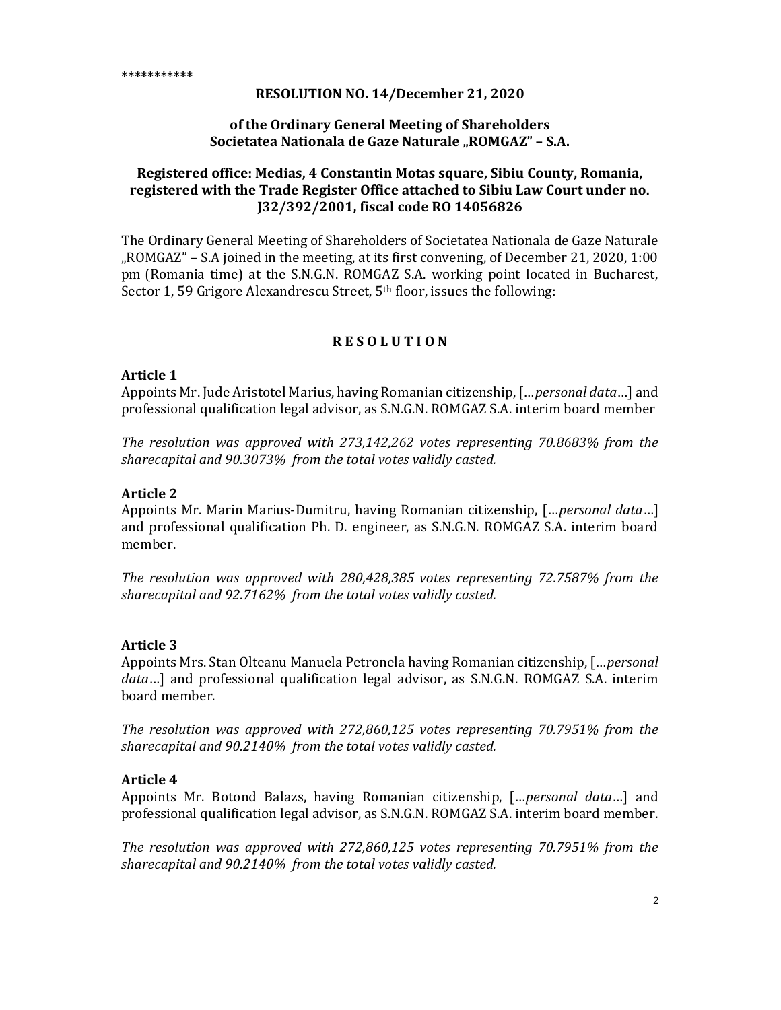#### RESOLUTION NO. 14/December 21, 2020

### of the Ordinary General Meeting of Shareholders Societatea Nationala de Gaze Naturale "ROMGAZ" - S.A.

### Registered office: Medias, 4 Constantin Motas square, Sibiu County, Romania, registered with the Trade Register Office attached to Sibiu Law Court under no. J32/392/2001, fiscal code RO 14056826

The Ordinary General Meeting of Shareholders of Societatea Nationala de Gaze Naturale  $\mu$ ROMGAZ" – S.A joined in the meeting, at its first convening, of December 21, 2020, 1:00 pm (Romania time) at the S.N.G.N. ROMGAZ S.A. working point located in Bucharest, Sector 1, 59 Grigore Alexandrescu Street, 5<sup>th</sup> floor, issues the following:

#### R E S O L U T I O N

#### Article 1

Appoints Mr. Jude Aristotel Marius, having Romanian citizenship, [... personal data...] and professional qualification legal advisor, as S.N.G.N. ROMGAZ S.A. interim board member

The resolution was approved with 273,142,262 votes representing 70.8683% from the sharecapital and 90.3073% from the total votes validly casted.

### Article 2

Appoints Mr. Marin Marius-Dumitru, having Romanian citizenship, […personal data…] and professional qualification Ph. D. engineer, as S.N.G.N. ROMGAZ S.A. interim board member.

The resolution was approved with 280,428,385 votes representing 72.7587% from the sharecapital and 92.7162% from the total votes validly casted.

#### Article 3

Appoints Mrs. Stan Olteanu Manuela Petronela having Romanian citizenship, […personal data…] and professional qualification legal advisor, as S.N.G.N. ROMGAZ S.A. interim board member.

The resolution was approved with 272,860,125 votes representing 70.7951% from the sharecapital and 90.2140% from the total votes validly casted.

#### Article 4

Appoints Mr. Botond Balazs, having Romanian citizenship, […personal data…] and professional qualification legal advisor, as S.N.G.N. ROMGAZ S.A. interim board member.

The resolution was approved with 272,860,125 votes representing 70.7951% from the sharecapital and 90.2140% from the total votes validly casted.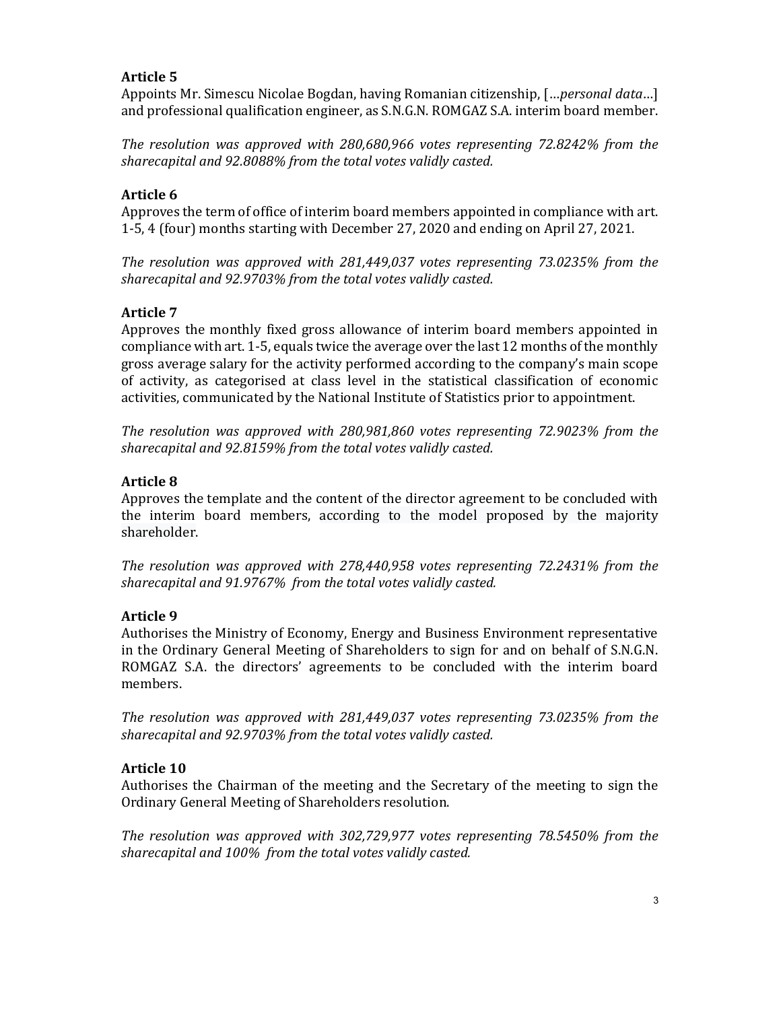# Article 5

Appoints Mr. Simescu Nicolae Bogdan, having Romanian citizenship, […personal data…] and professional qualification engineer, as S.N.G.N. ROMGAZ S.A. interim board member.

The resolution was approved with 280,680,966 votes representing 72.8242% from the sharecapital and 92.8088% from the total votes validly casted.

## Article 6

Approves the term of office of interim board members appointed in compliance with art. 1-5, 4 (four) months starting with December 27, 2020 and ending on April 27, 2021.

The resolution was approved with 281,449,037 votes representing 73.0235% from the sharecapital and 92.9703% from the total votes validly casted.

# Article 7

Approves the monthly fixed gross allowance of interim board members appointed in compliance with art. 1-5, equals twice the average over the last 12 months of the monthly gross average salary for the activity performed according to the company's main scope of activity, as categorised at class level in the statistical classification of economic activities, communicated by the National Institute of Statistics prior to appointment.

The resolution was approved with 280,981,860 votes representing 72.9023% from the sharecapital and 92.8159% from the total votes validly casted.

# Article 8

Approves the template and the content of the director agreement to be concluded with the interim board members, according to the model proposed by the majority shareholder.

The resolution was approved with 278,440,958 votes representing 72.2431% from the sharecapital and 91.9767% from the total votes validly casted.

# Article 9

Authorises the Ministry of Economy, Energy and Business Environment representative in the Ordinary General Meeting of Shareholders to sign for and on behalf of S.N.G.N. ROMGAZ S.A. the directors' agreements to be concluded with the interim board members.

The resolution was approved with 281,449,037 votes representing 73.0235% from the sharecapital and 92.9703% from the total votes validly casted.

# Article 10

Authorises the Chairman of the meeting and the Secretary of the meeting to sign the Ordinary General Meeting of Shareholders resolution.

The resolution was approved with 302,729,977 votes representing 78.5450% from the sharecapital and 100% from the total votes validly casted.